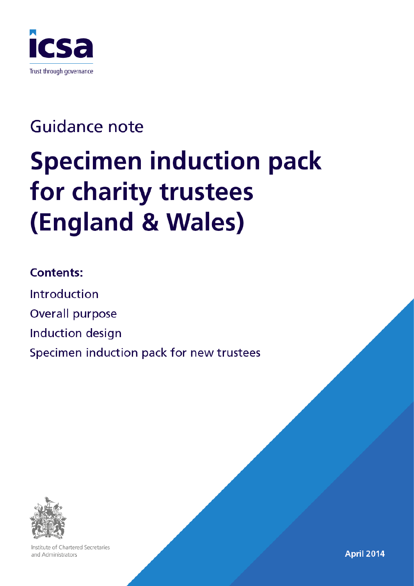

# **Guidance note Specimen induction pack** for charity trustees (England & Wales)

### **Contents:**

Introduction Overall purpose Induction design Specimen induction pack for new trustees



Institute of Chartered Secretaries and Administrators

April 2014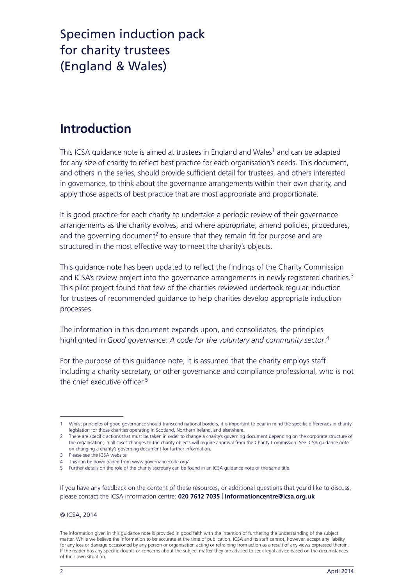### **Introduction**

This ICSA guidance note is aimed at trustees in England and Wales<sup>1</sup> and can be adapted for any size of charity to reflect best practice for each organisation's needs. This document, and others in the series, should provide sufficient detail for trustees, and others interested in governance, to think about the governance arrangements within their own charity, and apply those aspects of best practice that are most appropriate and proportionate.

It is good practice for each charity to undertake a periodic review of their governance arrangements as the charity evolves, and where appropriate, amend policies, procedures, and the governing document<sup>2</sup> to ensure that they remain fit for purpose and are structured in the most effective way to meet the charity's objects.

This guidance note has been updated to reflect the findings of the Charity Commission and ICSA's review project into the governance arrangements in newly registered charities.<sup>3</sup> This pilot project found that few of the charities reviewed undertook regular induction for trustees of recommended guidance to help charities develop appropriate induction processes.

The information in this document expands upon, and consolidates, the principles highlighted in *Good governance: A code for the voluntary and community sector*.<sup>4</sup>

For the purpose of this guidance note, it is assumed that the charity employs staff including a charity secretary, or other governance and compliance professional, who is not the chief executive officer.<sup>5</sup>

If you have any feedback on the content of these resources, or additional questions that you'd like to discuss, please contact the ICSA information centre: **020 7612 7035** | **informationcentre@icsa.org.uk**

© ICSA, 2014

 1 Whilst principles of good governance should transcend national borders, it is important to bear in mind the specific differences in charity legislation for those charities operating in Scotland, Northern Ireland, and elsewhere.

 2 There are specific actions that must be taken in order to change a charity's governing document depending on the corporate structure of the organisation; in all cases changes to the charity objects will require approval from the Charity Commission. See ICSA guidance note on changing a charity's governing document for further information.

<sup>3</sup> Please see the ICSA website

<sup>4</sup> This can be downloaded from www.governancecode.org/

<sup>5</sup> Further details on the role of the charity secretary can be found in an ICSA guidance note of the same title.

The information given in this guidance note is provided in good faith with the intention of furthering the understanding of the subject matter. While we believe the information to be accurate at the time of publication, ICSA and its staff cannot, however, accept any liability for any loss or damage occasioned by any person or organisation acting or refraining from action as a result of any views expressed therein. If the reader has any specific doubts or concerns about the subject matter they are advised to seek legal advice based on the circumstances of their own situation.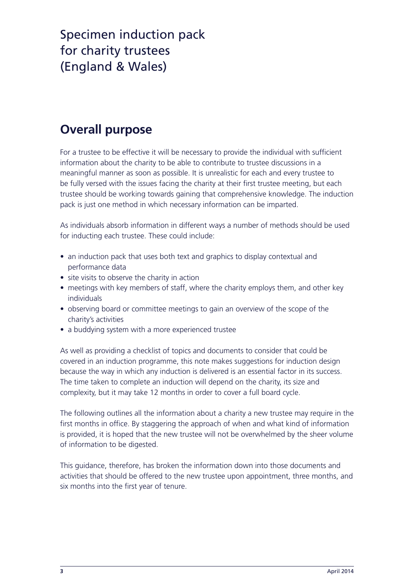### **Overall purpose**

For a trustee to be effective it will be necessary to provide the individual with sufficient information about the charity to be able to contribute to trustee discussions in a meaningful manner as soon as possible. It is unrealistic for each and every trustee to be fully versed with the issues facing the charity at their first trustee meeting, but each trustee should be working towards gaining that comprehensive knowledge. The induction pack is just one method in which necessary information can be imparted.

As individuals absorb information in different ways a number of methods should be used for inducting each trustee. These could include:

- an induction pack that uses both text and graphics to display contextual and performance data
- site visits to observe the charity in action
- meetings with key members of staff, where the charity employs them, and other key individuals
- observing board or committee meetings to gain an overview of the scope of the charity's activities
- a buddying system with a more experienced trustee

As well as providing a checklist of topics and documents to consider that could be covered in an induction programme, this note makes suggestions for induction design because the way in which any induction is delivered is an essential factor in its success. The time taken to complete an induction will depend on the charity, its size and complexity, but it may take 12 months in order to cover a full board cycle.

The following outlines all the information about a charity a new trustee may require in the first months in office. By staggering the approach of when and what kind of information is provided, it is hoped that the new trustee will not be overwhelmed by the sheer volume of information to be digested.

This guidance, therefore, has broken the information down into those documents and activities that should be offered to the new trustee upon appointment, three months, and six months into the first year of tenure.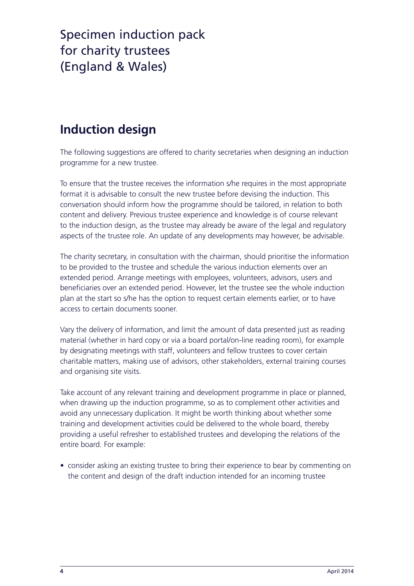### **Induction design**

The following suggestions are offered to charity secretaries when designing an induction programme for a new trustee.

To ensure that the trustee receives the information s/he requires in the most appropriate format it is advisable to consult the new trustee before devising the induction. This conversation should inform how the programme should be tailored, in relation to both content and delivery. Previous trustee experience and knowledge is of course relevant to the induction design, as the trustee may already be aware of the legal and regulatory aspects of the trustee role. An update of any developments may however, be advisable.

The charity secretary, in consultation with the chairman, should prioritise the information to be provided to the trustee and schedule the various induction elements over an extended period. Arrange meetings with employees, volunteers, advisors, users and beneficiaries over an extended period. However, let the trustee see the whole induction plan at the start so s/he has the option to request certain elements earlier, or to have access to certain documents sooner.

Vary the delivery of information, and limit the amount of data presented just as reading material (whether in hard copy or via a board portal/on-line reading room), for example by designating meetings with staff, volunteers and fellow trustees to cover certain charitable matters, making use of advisors, other stakeholders, external training courses and organising site visits.

Take account of any relevant training and development programme in place or planned, when drawing up the induction programme, so as to complement other activities and avoid any unnecessary duplication. It might be worth thinking about whether some training and development activities could be delivered to the whole board, thereby providing a useful refresher to established trustees and developing the relations of the entire board. For example:

• consider asking an existing trustee to bring their experience to bear by commenting on the content and design of the draft induction intended for an incoming trustee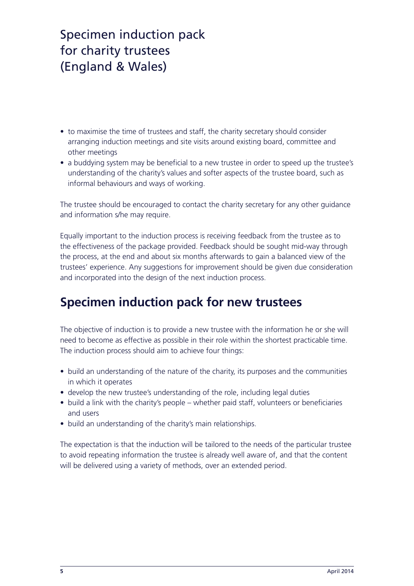- to maximise the time of trustees and staff, the charity secretary should consider arranging induction meetings and site visits around existing board, committee and other meetings
- a buddying system may be beneficial to a new trustee in order to speed up the trustee's understanding of the charity's values and softer aspects of the trustee board, such as informal behaviours and ways of working.

The trustee should be encouraged to contact the charity secretary for any other guidance and information s/he may require.

Equally important to the induction process is receiving feedback from the trustee as to the effectiveness of the package provided. Feedback should be sought mid-way through the process, at the end and about six months afterwards to gain a balanced view of the trustees' experience. Any suggestions for improvement should be given due consideration and incorporated into the design of the next induction process.

### **Specimen induction pack for new trustees**

The objective of induction is to provide a new trustee with the information he or she will need to become as effective as possible in their role within the shortest practicable time. The induction process should aim to achieve four things:

- build an understanding of the nature of the charity, its purposes and the communities in which it operates
- develop the new trustee's understanding of the role, including legal duties
- build a link with the charity's people whether paid staff, volunteers or beneficiaries and users
- build an understanding of the charity's main relationships.

The expectation is that the induction will be tailored to the needs of the particular trustee to avoid repeating information the trustee is already well aware of, and that the content will be delivered using a variety of methods, over an extended period.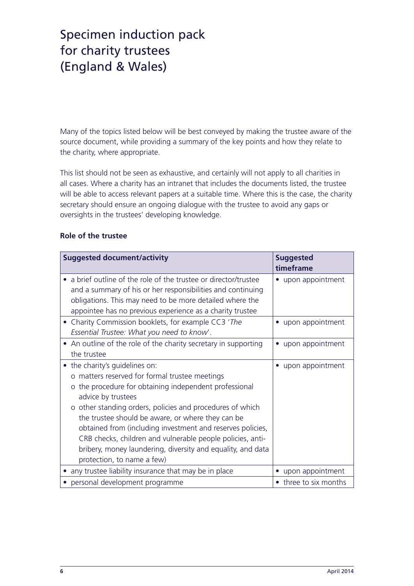Many of the topics listed below will be best conveyed by making the trustee aware of the source document, while providing a summary of the key points and how they relate to the charity, where appropriate.

This list should not be seen as exhaustive, and certainly will not apply to all charities in all cases. Where a charity has an intranet that includes the documents listed, the trustee will be able to access relevant papers at a suitable time. Where this is the case, the charity secretary should ensure an ongoing dialogue with the trustee to avoid any gaps or oversights in the trustees' developing knowledge.

#### **Role of the trustee**

| <b>Suggested document/activity</b>                                                                                                                                                                                                                                                                                                                                                                                                                                                                                 | <b>Suggested</b><br>timeframe |
|--------------------------------------------------------------------------------------------------------------------------------------------------------------------------------------------------------------------------------------------------------------------------------------------------------------------------------------------------------------------------------------------------------------------------------------------------------------------------------------------------------------------|-------------------------------|
| • a brief outline of the role of the trustee or director/trustee<br>and a summary of his or her responsibilities and continuing<br>obligations. This may need to be more detailed where the<br>appointee has no previous experience as a charity trustee                                                                                                                                                                                                                                                           | upon appointment              |
| Charity Commission booklets, for example CC3 'The<br>Essential Trustee: What you need to know'.                                                                                                                                                                                                                                                                                                                                                                                                                    | upon appointment<br>$\bullet$ |
| An outline of the role of the charity secretary in supporting<br>the trustee                                                                                                                                                                                                                                                                                                                                                                                                                                       | upon appointment<br>$\bullet$ |
| • the charity's guidelines on:<br>matters reserved for formal trustee meetings<br>the procedure for obtaining independent professional<br>$\circ$<br>advice by trustees<br>o other standing orders, policies and procedures of which<br>the trustee should be aware, or where they can be<br>obtained from (including investment and reserves policies,<br>CRB checks, children and vulnerable people policies, anti-<br>bribery, money laundering, diversity and equality, and data<br>protection, to name a few) | upon appointment<br>$\bullet$ |
| • any trustee liability insurance that may be in place                                                                                                                                                                                                                                                                                                                                                                                                                                                             | upon appointment              |
| • personal development programme                                                                                                                                                                                                                                                                                                                                                                                                                                                                                   | three to six months           |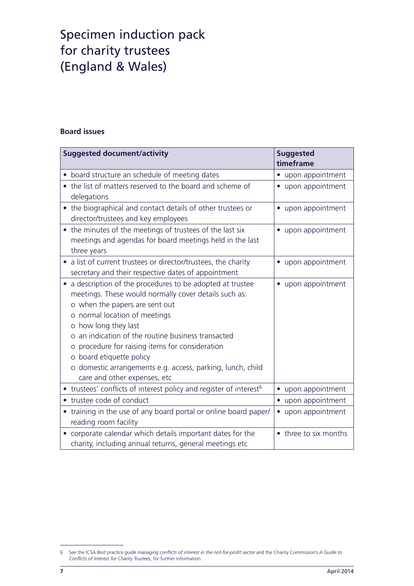#### **Board issues**

| <b>Suggested document/activity</b>                                                                                                                                                                                                                                                                                                                                                                                                          | <b>Suggested</b><br>timeframe |
|---------------------------------------------------------------------------------------------------------------------------------------------------------------------------------------------------------------------------------------------------------------------------------------------------------------------------------------------------------------------------------------------------------------------------------------------|-------------------------------|
| board structure an schedule of meeting dates                                                                                                                                                                                                                                                                                                                                                                                                | upon appointment              |
| the list of matters reserved to the board and scheme of<br>delegations                                                                                                                                                                                                                                                                                                                                                                      | • upon appointment            |
| the biographical and contact details of other trustees or<br>$\bullet$<br>director/trustees and key employees                                                                                                                                                                                                                                                                                                                               | • upon appointment            |
| • the minutes of the meetings of trustees of the last six<br>meetings and agendas for board meetings held in the last<br>three years                                                                                                                                                                                                                                                                                                        | • upon appointment            |
| • a list of current trustees or director/trustees, the charity<br>secretary and their respective dates of appointment                                                                                                                                                                                                                                                                                                                       | • upon appointment            |
| a description of the procedures to be adopted at trustee<br>meetings. These would normally cover details such as:<br>o when the papers are sent out<br>o normal location of meetings<br>o how long they last<br>an indication of the routine business transacted<br>procedure for raising items for consideration<br>o board etiquette policy<br>o domestic arrangements e.g. access, parking, lunch, child<br>care and other expenses, etc | upon appointment              |
| • trustees' conflicts of interest policy and register of interest <sup>6</sup>                                                                                                                                                                                                                                                                                                                                                              | upon appointment<br>$\bullet$ |
| trustee code of conduct                                                                                                                                                                                                                                                                                                                                                                                                                     | • upon appointment            |
| • training in the use of any board portal or online board paper/<br>reading room facility                                                                                                                                                                                                                                                                                                                                                   | • upon appointment            |
| corporate calendar which details important dates for the<br>$\bullet$<br>charity, including annual returns, general meetings etc                                                                                                                                                                                                                                                                                                            | • three to six months         |

 $\sqrt{6}$ See the ICSA Best practice guide managing conflicts of interest in the not-for-profit sector and the Charity Commission's A Guide to *Conflicts of Interest for Charity Trustees*, for further information.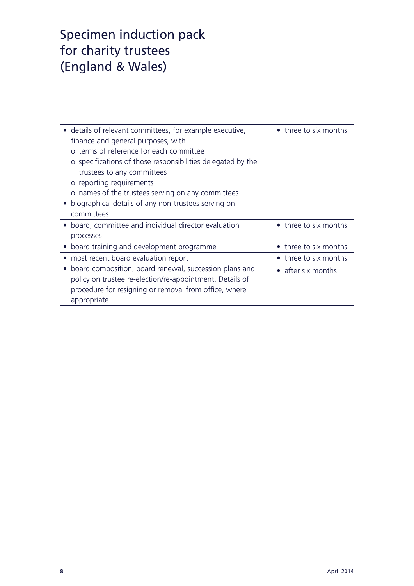| • details of relevant committees, for example executive,<br>finance and general purposes, with<br>o terms of reference for each committee<br>o specifications of those responsibilities delegated by the<br>trustees to any committees<br>o reporting requirements | three to six months   |
|--------------------------------------------------------------------------------------------------------------------------------------------------------------------------------------------------------------------------------------------------------------------|-----------------------|
| o names of the trustees serving on any committees<br>biographical details of any non-trustees serving on                                                                                                                                                           |                       |
| committees                                                                                                                                                                                                                                                         |                       |
| • board, committee and individual director evaluation                                                                                                                                                                                                              | • three to six months |
| processes                                                                                                                                                                                                                                                          |                       |
| • board training and development programme                                                                                                                                                                                                                         | • three to six months |
| most recent board evaluation report                                                                                                                                                                                                                                | • three to six months |
| board composition, board renewal, succession plans and                                                                                                                                                                                                             | • after six months    |
| policy on trustee re-election/re-appointment. Details of                                                                                                                                                                                                           |                       |
| procedure for resigning or removal from office, where                                                                                                                                                                                                              |                       |
| appropriate                                                                                                                                                                                                                                                        |                       |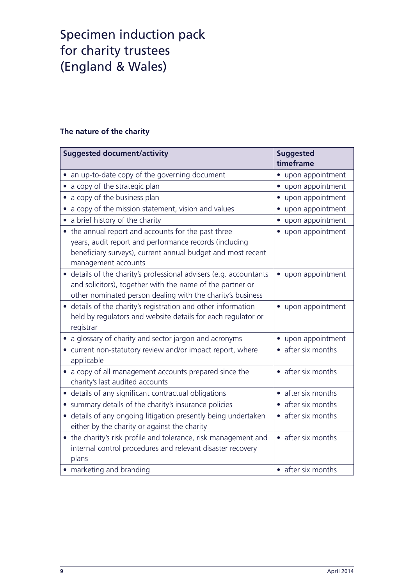#### **The nature of the charity**

| <b>Suggested document/activity</b>                                                                                                                                                                       | <b>Suggested</b><br>timeframe |
|----------------------------------------------------------------------------------------------------------------------------------------------------------------------------------------------------------|-------------------------------|
| an up-to-date copy of the governing document                                                                                                                                                             | upon appointment              |
| a copy of the strategic plan                                                                                                                                                                             | • upon appointment            |
| a copy of the business plan                                                                                                                                                                              | • upon appointment            |
| a copy of the mission statement, vision and values                                                                                                                                                       | • upon appointment            |
| a brief history of the charity                                                                                                                                                                           | • upon appointment            |
| • the annual report and accounts for the past three<br>years, audit report and performance records (including<br>beneficiary surveys), current annual budget and most recent<br>management accounts      | • upon appointment            |
| details of the charity's professional advisers (e.g. accountants<br>$\bullet$<br>and solicitors), together with the name of the partner or<br>other nominated person dealing with the charity's business | • upon appointment            |
| • details of the charity's registration and other information<br>held by regulators and website details for each regulator or<br>registrar                                                               | • upon appointment            |
| a glossary of charity and sector jargon and acronyms                                                                                                                                                     | • upon appointment            |
| current non-statutory review and/or impact report, where<br>applicable                                                                                                                                   | • after six months            |
| a copy of all management accounts prepared since the<br>$\bullet$<br>charity's last audited accounts                                                                                                     | • after six months            |
| details of any significant contractual obligations                                                                                                                                                       | • after six months            |
| summary details of the charity's insurance policies                                                                                                                                                      | • after six months            |
| • details of any ongoing litigation presently being undertaken<br>either by the charity or against the charity                                                                                           | • after six months            |
| • the charity's risk profile and tolerance, risk management and<br>internal control procedures and relevant disaster recovery<br>plans                                                                   | • after six months            |
| • marketing and branding                                                                                                                                                                                 | • after six months            |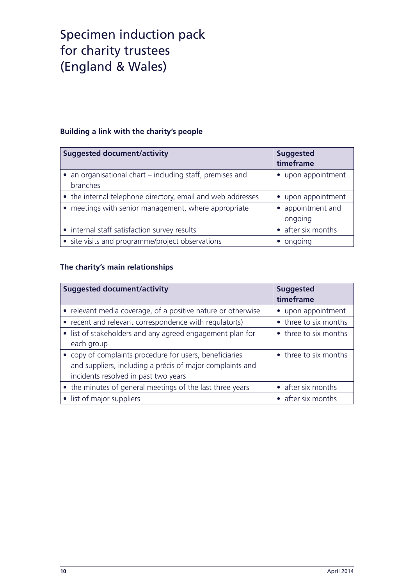#### **Building a link with the charity's people**

| <b>Suggested document/activity</b>                                    | <b>Suggested</b><br>timeframe |
|-----------------------------------------------------------------------|-------------------------------|
| • an organisational chart – including staff, premises and<br>branches | upon appointment              |
| • the internal telephone directory, email and web addresses           | • upon appointment            |
| • meetings with senior management, where appropriate                  | appointment and<br>ongoing    |
| • internal staff satisfaction survey results                          | • after six months            |
| • site visits and programme/project observations                      | ongoing                       |

#### **The charity's main relationships**

| <b>Suggested document/activity</b>                           | <b>Suggested</b><br>timeframe |
|--------------------------------------------------------------|-------------------------------|
| • relevant media coverage, of a positive nature or otherwise | upon appointment<br>$\bullet$ |
| • recent and relevant correspondence with regulator(s)       | • three to six months         |
| • list of stakeholders and any agreed engagement plan for    | • three to six months         |
| each group                                                   |                               |
| • copy of complaints procedure for users, beneficiaries      | • three to six months         |
| and suppliers, including a précis of major complaints and    |                               |
| incidents resolved in past two years                         |                               |
| • the minutes of general meetings of the last three years    | • after six months            |
| • list of major suppliers                                    | after six months              |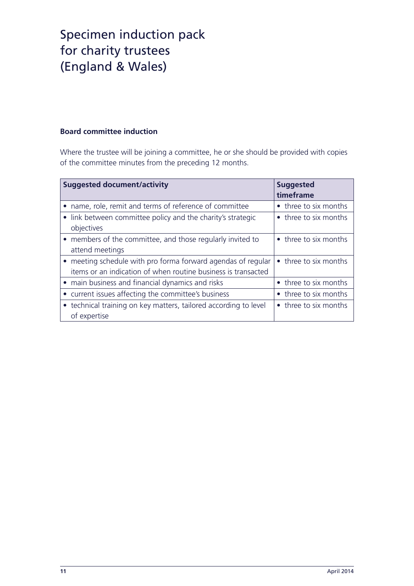#### **Board committee induction**

Where the trustee will be joining a committee, he or she should be provided with copies of the committee minutes from the preceding 12 months.

| <b>Suggested document/activity</b>                                                                                            | <b>Suggested</b><br>timeframe |
|-------------------------------------------------------------------------------------------------------------------------------|-------------------------------|
| name, role, remit and terms of reference of committee                                                                         | • three to six months         |
| link between committee policy and the charity's strategic<br>objectives                                                       | • three to six months         |
| • members of the committee, and those regularly invited to<br>attend meetings                                                 | • three to six months         |
| • meeting schedule with pro forma forward agendas of regular<br>items or an indication of when routine business is transacted | • three to six months         |
| • main business and financial dynamics and risks                                                                              | • three to six months         |
| • current issues affecting the committee's business                                                                           | • three to six months         |
| • technical training on key matters, tailored according to level<br>of expertise                                              | • three to six months         |